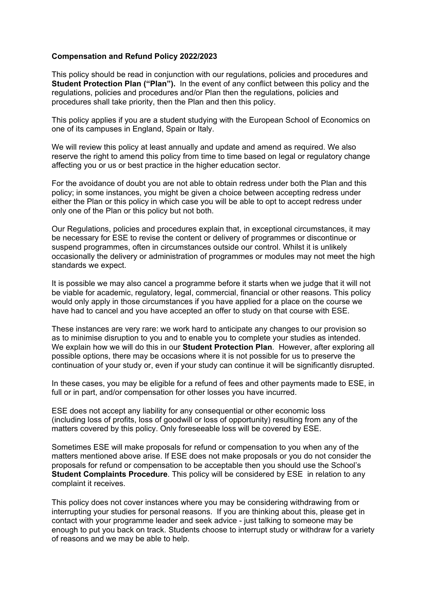## **Compensation and Refund Policy**

This policy should be read in conjunction with our regulations, policies and procedures and **Student Protection Plan ("Plan").** In the event of any conflict between this policy and the regulations, policies and procedures and/or Plan then the regulations, policies and procedures shall take priority, then the Plan and then this policy.

This policy applies if you are a student studying with the European School of Economics on one of its campuses in England, Spain or Italy.

We will review this policy at least annually and update and amend as required. We also reserve the right to amend this policy from time to time based on legal or regulatory change affecting you or us or best practice in the higher education sector.

For the avoidance of doubt you are not able to obtain redress under both the Plan and this policy; in some instances, you might be given a choice between accepting redress under either the Plan or this policy in which case you will be able to opt to accept redress under only one of the Plan or this policy but not both.

Our Regulations, policies and procedures explain that, in exceptional circumstances, it may be necessary for ESE to revise the content or delivery of programmes or discontinue or suspend programmes, often in circumstances outside our control. Whilst it is unlikely occasionally the delivery or administration of programmes or modules may not meet the high standards we expect.

It is possible we may also cancel a programme before it starts when we judge that it will not be viable for academic, regulatory, legal, commercial, financial or other reasons. This policy would only apply in those circumstances if you have applied for a place on the course we have had to cancel and you have accepted an offer to study on that course with ESE.

These instances are very rare: we work hard to anticipate any changes to our provision so as to minimise disruption to you and to enable you to complete your studies as intended. We explain how we will do this in our **Student Protection Plan**. However, after exploring all possible options, there may be occasions where it is not possible for us to preserve the continuation of your study or, even if your study can continue it will be significantly disrupted.

In these cases, you may be eligible for a refund of fees and other payments made to ESE, in full or in part, and/or compensation for other losses you have incurred.

ESE does not accept any liability for any consequential or other economic loss (including loss of profits, loss of goodwill or loss of opportunity) resulting from any of the matters covered by this policy. Only foreseeable loss will be covered by ESE.

Sometimes ESE will make proposals for refund or compensation to you when any of the matters mentioned above arise. If ESE does not make proposals or you do not consider the proposals for refund or compensation to be acceptable then you should use the School's **Student Complaints Procedure**. This policy will be considered by ESE in relation to any complaint it receives.

This policy does not cover instances where you may be considering withdrawing from or interrupting your studies for personal reasons. If you are thinking about this, please get in contact with your programme leader and seek advice - just talking to someone may be enough to put you back on track. Students choose to interrupt study or withdraw for a variety of reasons and we may be able to help.